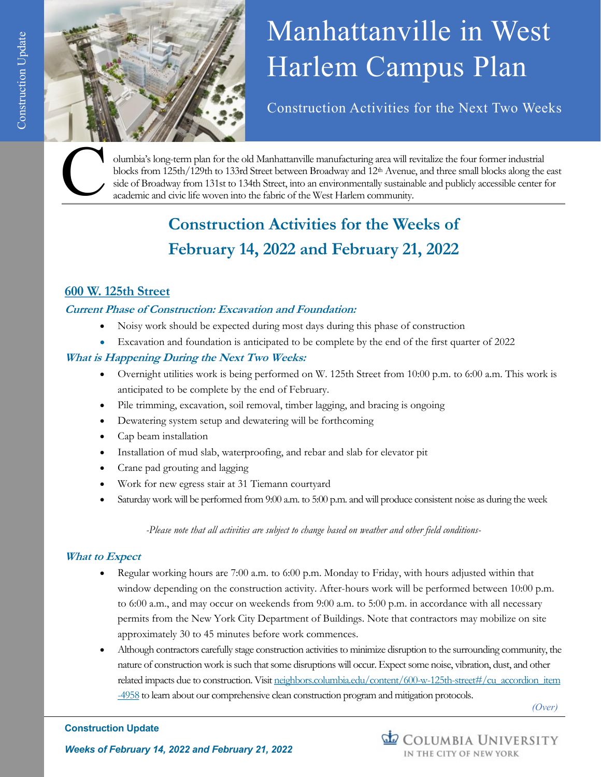



# Manhattanville in West Harlem Campus Plan

Construction Activities for the Next Two Weeks

olumbia's long-term plan for the old Manhattanville manufacturing area will revitalize the four former industrial blocks from 125th/129th to 133rd Street between Broadway and 12<sup>th</sup> Avenue, and three small blocks along the east side of Broadway from 131st to 134th Street, into an environmentally sustainable and publicly accessible center for academic and civic life woven into the fabric of the West Harlem community.

# **Construction Activities for the Weeks of February 14, 2022 and February 21, 2022**

# **600 W. 125th Street**

# **Current Phase of Construction: Excavation and Foundation:**

- Noisy work should be expected during most days during this phase of construction
- Excavation and foundation is anticipated to be complete by the end of the first quarter of 2022

## **What is Happening During the Next Two Weeks:**

- Overnight utilities work is being performed on W. 125th Street from 10:00 p.m. to 6:00 a.m. This work is anticipated to be complete by the end of February.
- Pile trimming, excavation, soil removal, timber lagging, and bracing is ongoing
- Dewatering system setup and dewatering will be forthcoming
- Cap beam installation
- Installation of mud slab, waterproofing, and rebar and slab for elevator pit
- Crane pad grouting and lagging
- Work for new egress stair at 31 Tiemann courtyard
- Saturday work will be performed from 9:00 a.m. to 5:00 p.m. and will produce consistent noise as during the week

*-Please note that all activities are subject to change based on weather and other field conditions-*

## **What to Expect**

- Regular working hours are 7:00 a.m. to 6:00 p.m. Monday to Friday, with hours adjusted within that window depending on the construction activity. After-hours work will be performed between 10:00 p.m. to 6:00 a.m., and may occur on weekends from 9:00 a.m. to 5:00 p.m. in accordance with all necessary permits from the New York City Department of Buildings. Note that contractors may mobilize on site approximately 30 to 45 minutes before work commences.
- Although contractors carefully stage construction activities to minimize disruption to the surrounding community, the nature of construction work is such that some disruptions will occur. Expect some noise, vibration, dust, and other related impacts due to construction. Visit [neighbors.columbia.edu/content/600-w-125th-street#/cu\\_accordion\\_item](https://neighbors.columbia.edu/content/600-w-125th-street#/cu_accordion_item-4958) [-4958](https://neighbors.columbia.edu/content/600-w-125th-street#/cu_accordion_item-4958) to learn about our comprehensive clean construction program and mitigation protocols.

*(Over)*

#### **Construction Update**

COLUMBIA UNIVERSITY IN THE CITY OF NEW YORK

*Weeks of February 14, 2022 and February 21, 2022*